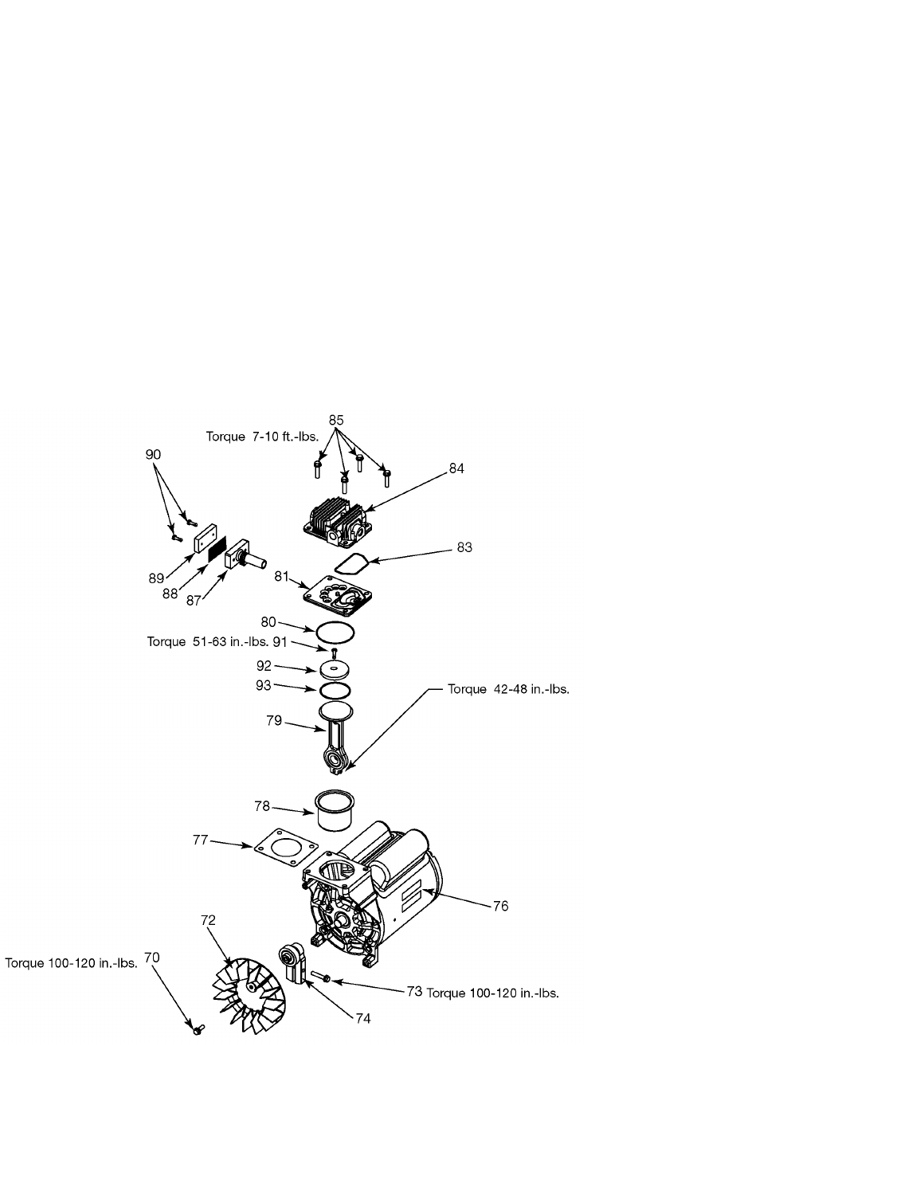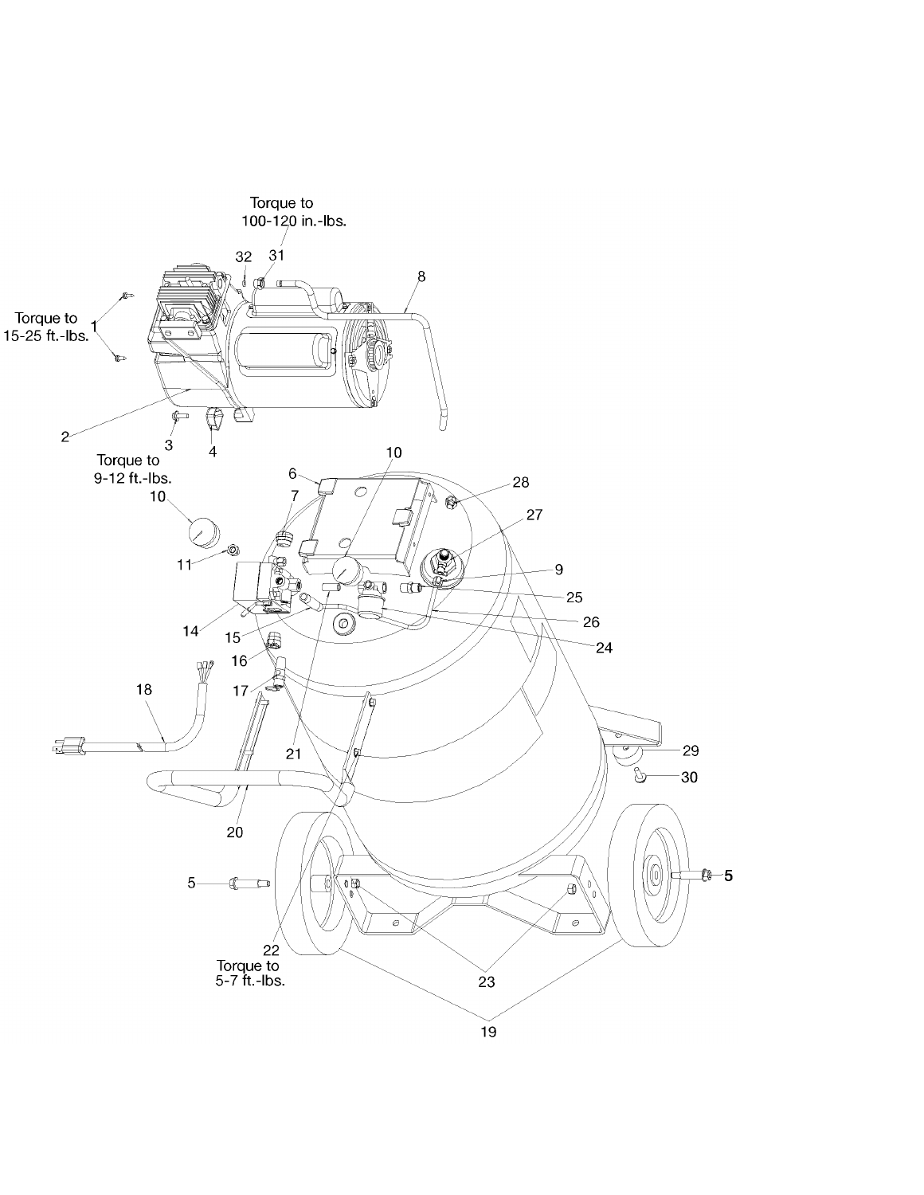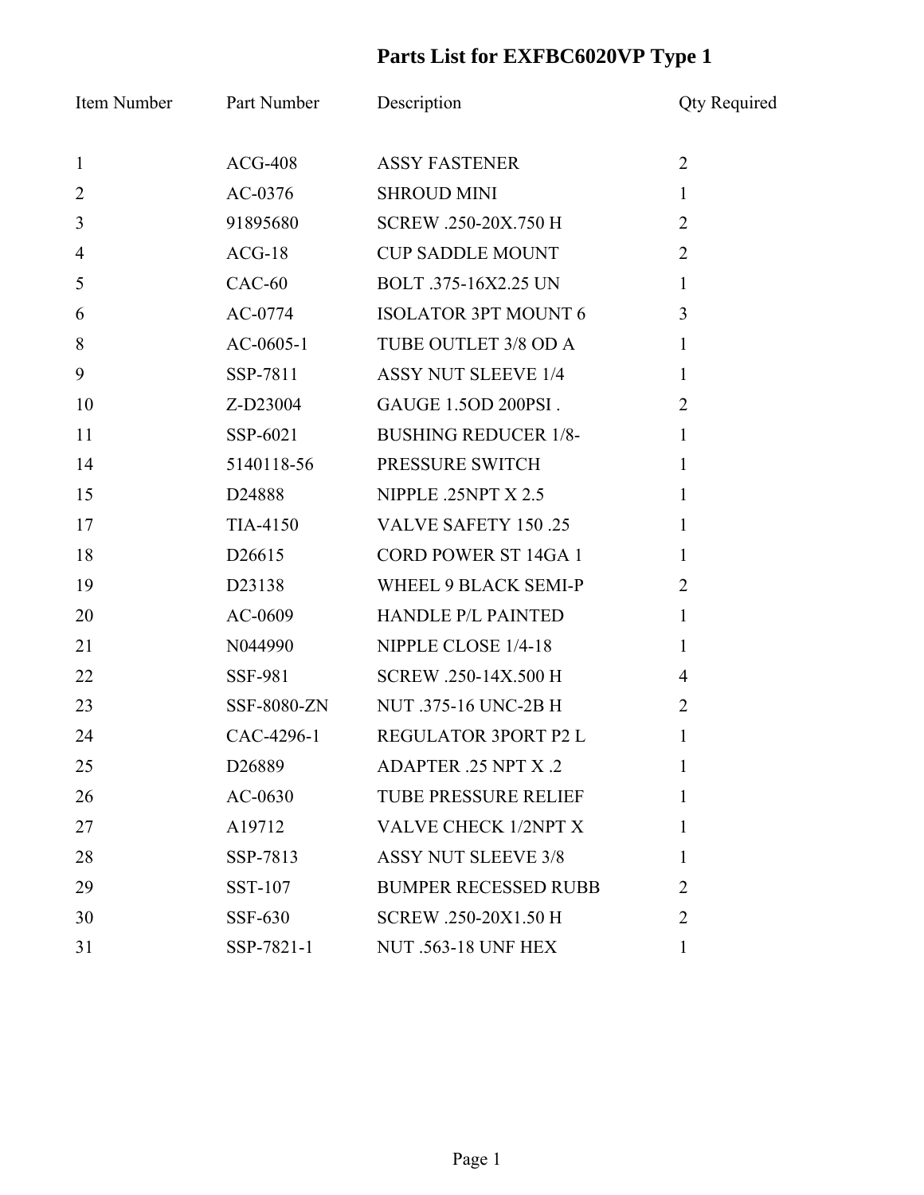## **Parts List for EXFBC6020VP Type 1**

| Item Number    | Part Number        | Description                 | <b>Qty Required</b> |
|----------------|--------------------|-----------------------------|---------------------|
| $\mathbf{1}$   | $ACG-408$          | <b>ASSY FASTENER</b>        | $\overline{2}$      |
| $\overline{2}$ | AC-0376            | <b>SHROUD MINI</b>          | $\mathbf{1}$        |
| $\mathfrak{Z}$ | 91895680           | SCREW .250-20X.750 H        | $\overline{2}$      |
| $\overline{4}$ | $ACG-18$           | <b>CUP SADDLE MOUNT</b>     | $\overline{2}$      |
| 5              | $CAC-60$           | BOLT .375-16X2.25 UN        | $\mathbf{1}$        |
| 6              | $AC-0774$          | <b>ISOLATOR 3PT MOUNT 6</b> | $\overline{3}$      |
| 8              | $AC-0605-1$        | TUBE OUTLET 3/8 OD A        | $\mathbf{1}$        |
| 9              | SSP-7811           | <b>ASSY NUT SLEEVE 1/4</b>  | $\mathbf{1}$        |
| 10             | Z-D23004           | GAUGE 1.5OD 200PSI.         | $\overline{2}$      |
| 11             | SSP-6021           | <b>BUSHING REDUCER 1/8-</b> | $\mathbf{1}$        |
| 14             | 5140118-56         | PRESSURE SWITCH             | $\mathbf{1}$        |
| 15             | D24888             | NIPPLE .25NPT X 2.5         | $\mathbf{1}$        |
| 17             | TIA-4150           | VALVE SAFETY 150.25         | $\mathbf{1}$        |
| 18             | D <sub>26615</sub> | <b>CORD POWER ST 14GA 1</b> | $\mathbf{1}$        |
| 19             | D23138             | WHEEL 9 BLACK SEMI-P        | $\overline{2}$      |
| 20             | AC-0609            | <b>HANDLE P/L PAINTED</b>   | $\mathbf{1}$        |
| 21             | N044990            | NIPPLE CLOSE 1/4-18         | $\mathbf{1}$        |
| 22             | SSF-981            | SCREW .250-14X.500 H        | $\overline{4}$      |
| 23             | SSF-8080-ZN        | NUT .375-16 UNC-2B H        | $\overline{2}$      |
| 24             | CAC-4296-1         | REGULATOR 3PORT P2 L        | 1                   |
| 25             | D26889             | ADAPTER .25 NPT X .2        | $\bf{l}$            |
| 26             | $AC-0630$          | <b>TUBE PRESSURE RELIEF</b> | 1                   |
| 27             | A19712             | <b>VALVE CHECK 1/2NPT X</b> | 1                   |
| 28             | SSP-7813           | <b>ASSY NUT SLEEVE 3/8</b>  | 1                   |
| 29             | SST-107            | <b>BUMPER RECESSED RUBB</b> | 2                   |
| 30             | SSF-630            | SCREW .250-20X1.50 H        | $\overline{2}$      |
| 31             | SSP-7821-1         | <b>NUT .563-18 UNF HEX</b>  | $\mathbf{1}$        |